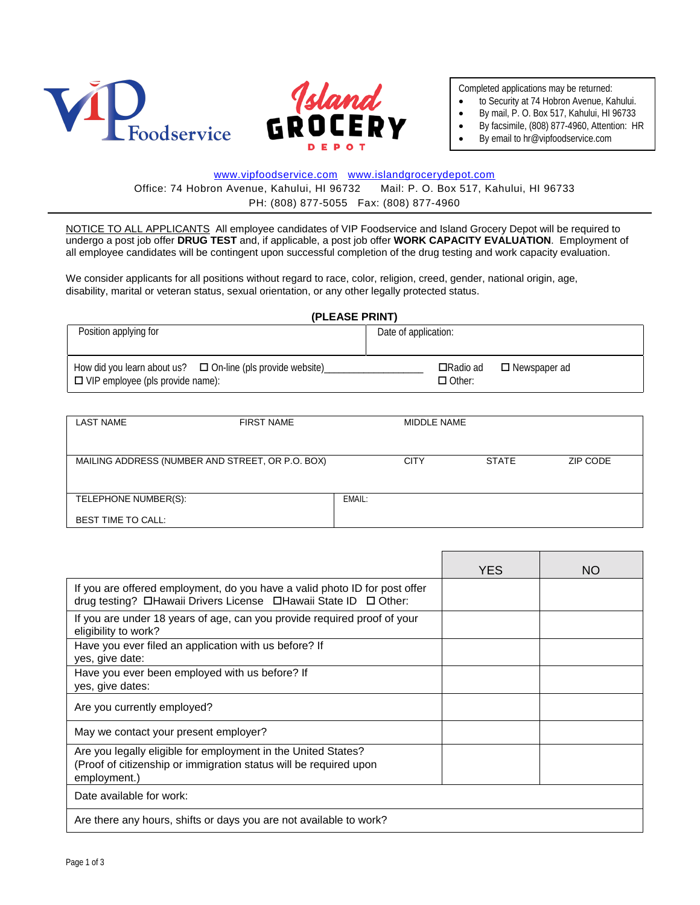



Completed applications may be returned:

- to Security at 74 Hobron Avenue, Kahului.
- By mail, P. O. Box 517, Kahului, HI 96733
	- By facsimile, (808) 877-4960, Attention: HR
	- By email to hr@vipfoodservice.com

### [www.vipfoodservice.com](http://www.vipfoodservice.com/) [www.islandgrocerydepot.com](http://www.islandgrocerydepot.com/)

Office: 74 Hobron Avenue, Kahului, HI 96732 Mail: P. O. Box 517, Kahului, HI 96733 PH: (808) 877-5055 Fax: (808) 877-4960

NOTICE TO ALL APPLICANTS All employee candidates of VIP Foodservice and Island Grocery Depot will be required to undergo a post job offer **DRUG TEST** and, if applicable, a post job offer **WORK CAPACITY EVALUATION**. Employment of all employee candidates will be contingent upon successful completion of the drug testing and work capacity evaluation.

We consider applicants for all positions without regard to race, color, religion, creed, gender, national origin, age, disability, marital or veteran status, sexual orientation, or any other legally protected status.

#### **(PLEASE PRINT)**

| Position applying for                                                                                       | Date of application:                                      |  |  |
|-------------------------------------------------------------------------------------------------------------|-----------------------------------------------------------|--|--|
| How did you learn about us? $\Box$ On-line (pls provide website)<br>$\Box$ VIP employee (pls provide name): | <b>□</b> Radio ad<br>$\Box$ Newspaper ad<br>$\Box$ Other: |  |  |

| <b>LAST NAME</b>          | <b>FIRST NAME</b>                                |        | MIDDLE NAME |              |          |
|---------------------------|--------------------------------------------------|--------|-------------|--------------|----------|
|                           | MAILING ADDRESS (NUMBER AND STREET, OR P.O. BOX) |        | <b>CITY</b> | <b>STATE</b> | ZIP CODE |
|                           |                                                  |        |             |              |          |
| TELEPHONE NUMBER(S):      |                                                  | EMAIL: |             |              |          |
| <b>BEST TIME TO CALL:</b> |                                                  |        |             |              |          |

|                                                                                                                                                    | <b>YES</b> | NO. |
|----------------------------------------------------------------------------------------------------------------------------------------------------|------------|-----|
| If you are offered employment, do you have a valid photo ID for post offer<br>drug testing? DHawaii Drivers License DHawaii State ID D Other:      |            |     |
| If you are under 18 years of age, can you provide required proof of your<br>eligibility to work?                                                   |            |     |
| Have you ever filed an application with us before? If<br>yes, give date:                                                                           |            |     |
| Have you ever been employed with us before? If<br>yes, give dates:                                                                                 |            |     |
| Are you currently employed?                                                                                                                        |            |     |
| May we contact your present employer?                                                                                                              |            |     |
| Are you legally eligible for employment in the United States?<br>(Proof of citizenship or immigration status will be required upon<br>employment.) |            |     |
| Date available for work:                                                                                                                           |            |     |
| Are there any hours, shifts or days you are not available to work?                                                                                 |            |     |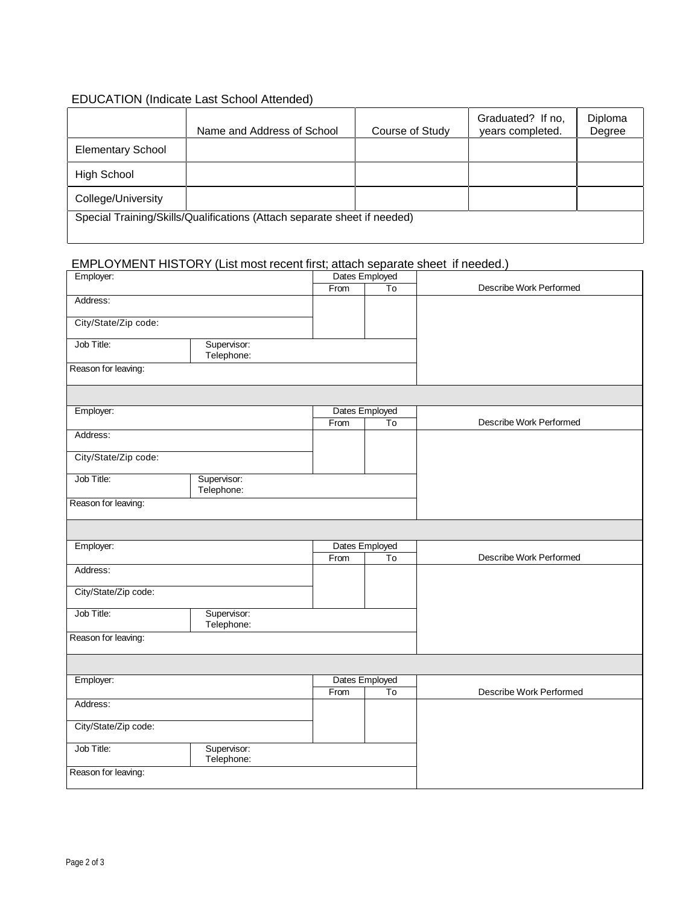# EDUCATION (Indicate Last School Attended)

|                                                                          | Name and Address of School | Course of Study | Graduated? If no,<br>years completed. | Diploma<br>Degree |
|--------------------------------------------------------------------------|----------------------------|-----------------|---------------------------------------|-------------------|
| <b>Elementary School</b>                                                 |                            |                 |                                       |                   |
| <b>High School</b>                                                       |                            |                 |                                       |                   |
| College/University                                                       |                            |                 |                                       |                   |
| Special Training/Skills/Qualifications (Attach separate sheet if needed) |                            |                 |                                       |                   |

## EMPLOYMENT HISTORY (List most recent first; attach separate sheet if needed.)

| Employer:            |             | Dates Employed |                |                         |
|----------------------|-------------|----------------|----------------|-------------------------|
|                      |             | From           | To             | Describe Work Performed |
| Address:             |             |                |                |                         |
|                      |             |                |                |                         |
| City/State/Zip code: |             |                |                |                         |
| Job Title:           | Supervisor: |                |                |                         |
|                      | Telephone:  |                |                |                         |
| Reason for leaving:  |             |                |                |                         |
|                      |             |                |                |                         |
|                      |             |                |                |                         |
|                      |             |                |                |                         |
| Employer:            |             |                | Dates Employed |                         |
|                      |             | From           | To             | Describe Work Performed |
| Address:             |             |                |                |                         |
| City/State/Zip code: |             |                |                |                         |
|                      |             |                |                |                         |
| Job Title:           | Supervisor: |                |                |                         |
|                      | Telephone:  |                |                |                         |
| Reason for leaving:  |             |                |                |                         |
|                      |             |                |                |                         |
|                      |             |                |                |                         |
| Employer:            |             |                | Dates Employed |                         |
|                      |             | From           | To             | Describe Work Performed |
| Address:             |             |                |                |                         |
|                      |             |                |                |                         |
| City/State/Zip code: |             |                |                |                         |
|                      |             |                |                |                         |
| Job Title:           | Supervisor: |                |                |                         |
|                      | Telephone:  |                |                |                         |
| Reason for leaving:  |             |                |                |                         |
|                      |             |                |                |                         |
|                      |             |                |                |                         |
| Employer:            |             |                | Dates Employed |                         |
|                      |             | From           | To             | Describe Work Performed |
| Address:             |             |                |                |                         |
|                      |             |                |                |                         |
| City/State/Zip code: |             |                |                |                         |
| Job Title:           | Supervisor: |                |                |                         |
|                      | Telephone:  |                |                |                         |
| Reason for leaving:  |             |                |                |                         |
|                      |             |                |                |                         |